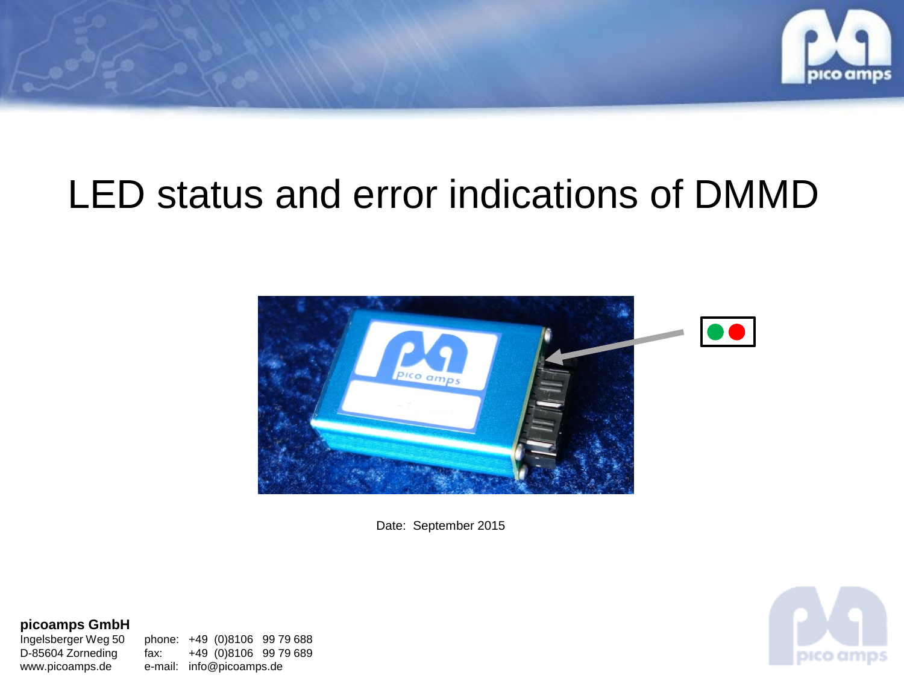

## LED status and error indications of DMMD



Date: September 2015

**picoamps GmbH**<br>Ingelsberger Weg 50

phone: +49 (0)8106 99 79 688 D-85604 Zorneding fax: +49 (0)8106 99 79 689 www.picoamps.de e-mail: info@picoamps.de